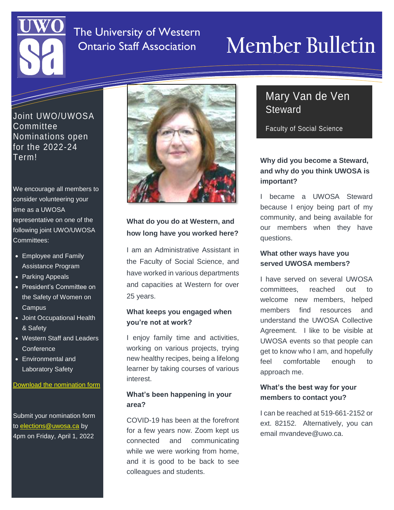### The University of Western Ontario Staff Association

# **Member Bulletin**

Joint UWO/UWOSA Committee Nominations open for the 2022-24 Term!

I S S U E

We encourage all members to consider volunteering your time as a UWOSA representative on one of the following joint UWO/UWOSA Committees:

- Employee and Family Assistance Program
- Parking Appeals
- President's Committee on the Safety of Women on Campus
- Joint Occupational Health & Safety
- Western Staff and Leaders **Conference**
- Environmental and Laboratory Safety

#### [Download the nomination form](https://www.uwosa.ca/governance-agreements-forms/)

Submit your nomination form to [elections@uwosa.ca](mailto:elections@uwosa.ca) by 4pm on Friday, April 1, 2022



#### **What do you do at Western, and how long have you worked here?**

I am an Administrative Assistant in the Faculty of Social Science, and have worked in various departments and capacities at Western for over 25 years.

#### **What keeps you engaged when you're not at work?**

I enjoy family time and activities, working on various projects, trying new healthy recipes, being a lifelong learner by taking courses of various interest.

#### **What's been happening in your area?**

COVID-19 has been at the forefront for a few years now. Zoom kept us connected and communicating while we were working from home, and it is good to be back to see colleagues and students.

### Mary Van de Ven **Steward**

Faculty of Social Science

#### **Why did you become a Steward, and why do you think UWOSA is important?**

I became a UWOSA Steward because I enjoy being part of my community, and being available for our members when they have questions.

#### **What other ways have you served UWOSA members?**

I have served on several UWOSA committees, reached out to welcome new members, helped members find resources and understand the UWOSA Collective Agreement. I like to be visible at UWOSA events so that people can get to know who I am, and hopefully feel comfortable enough to approach me.

#### **What's the best way for your members to contact you?**

I can be reached at 519-661-2152 or ext. 82152. Alternatively, you can email mvandeve@uwo.ca.